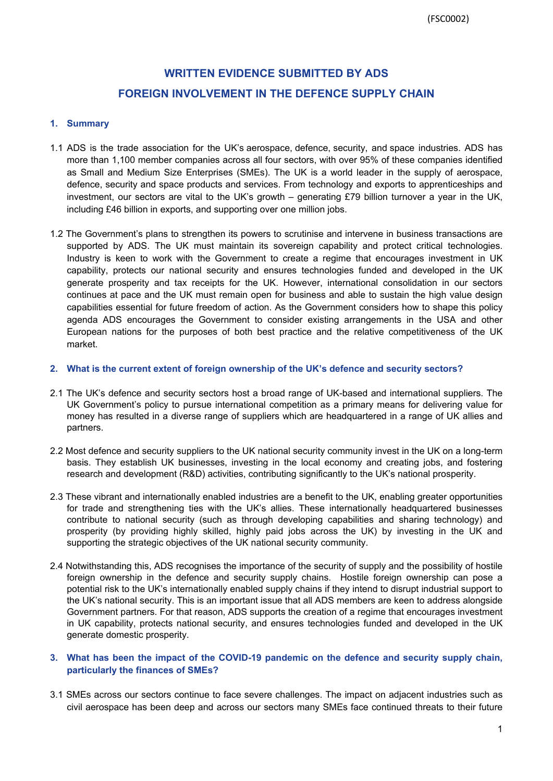# **WRITTEN EVIDENCE SUBMITTED BY ADS FOREIGN INVOLVEMENT IN THE DEFENCE SUPPLY CHAIN**

## **1. Summary**

- 1.1 ADS is the trade association for the UK's aerospace, defence, security, and space industries. ADS has more than 1,100 member companies across all four sectors, with over 95% of these companies identified as Small and Medium Size Enterprises (SMEs). The UK is a world leader in the supply of aerospace, defence, security and space products and services. From technology and exports to apprenticeships and investment, our sectors are vital to the UK's growth – generating £79 billion turnover a year in the UK, including £46 billion in exports, and supporting over one million jobs.
- 1.2 The Government's plans to strengthen its powers to scrutinise and intervene in business transactions are supported by ADS. The UK must maintain its sovereign capability and protect critical technologies. Industry is keen to work with the Government to create a regime that encourages investment in UK capability, protects our national security and ensures technologies funded and developed in the UK generate prosperity and tax receipts for the UK. However, international consolidation in our sectors continues at pace and the UK must remain open for business and able to sustain the high value design capabilities essential for future freedom of action. As the Government considers how to shape this policy agenda ADS encourages the Government to consider existing arrangements in the USA and other European nations for the purposes of both best practice and the relative competitiveness of the UK market.

#### **2. What is the current extent of foreign ownership of the UK's defence and security sectors?**

- 2.1 The UK's defence and security sectors host a broad range of UK-based and international suppliers. The UK Government's policy to pursue international competition as a primary means for delivering value for money has resulted in a diverse range of suppliers which are headquartered in a range of UK allies and partners.
- 2.2 Most defence and security suppliers to the UK national security community invest in the UK on a long-term basis. They establish UK businesses, investing in the local economy and creating jobs, and fostering research and development (R&D) activities, contributing significantly to the UK's national prosperity.
- 2.3 These vibrant and internationally enabled industries are a benefit to the UK, enabling greater opportunities for trade and strengthening ties with the UK's allies. These internationally headquartered businesses contribute to national security (such as through developing capabilities and sharing technology) and prosperity (by providing highly skilled, highly paid jobs across the UK) by investing in the UK and supporting the strategic objectives of the UK national security community.
- 2.4 Notwithstanding this, ADS recognises the importance of the security of supply and the possibility of hostile foreign ownership in the defence and security supply chains. Hostile foreign ownership can pose a potential risk to the UK's internationally enabled supply chains if they intend to disrupt industrial support to the UK's national security. This is an important issue that all ADS members are keen to address alongside Government partners. For that reason, ADS supports the creation of a regime that encourages investment in UK capability, protects national security, and ensures technologies funded and developed in the UK generate domestic prosperity.

## **3. What has been the impact of the COVID-19 pandemic on the defence and security supply chain, particularly the finances of SMEs?**

3.1 SMEs across our sectors continue to face severe challenges. The impact on adjacent industries such as civil aerospace has been deep and across our sectors many SMEs face continued threats to their future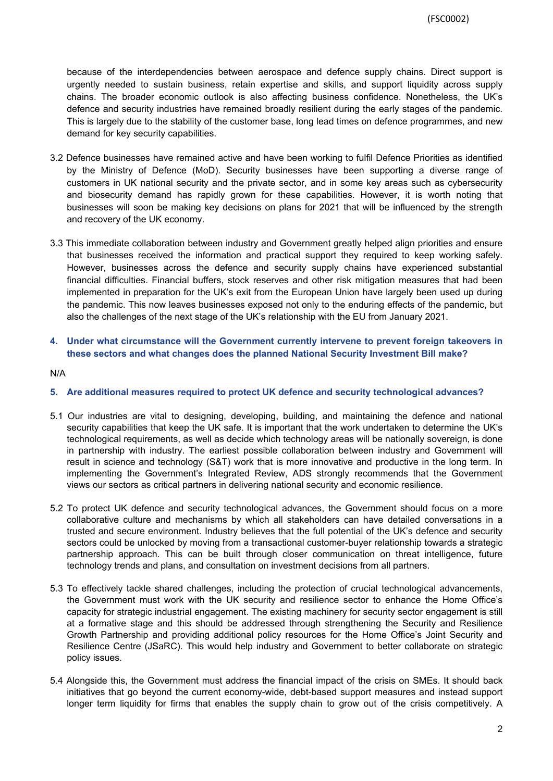because of the interdependencies between aerospace and defence supply chains. Direct support is urgently needed to sustain business, retain expertise and skills, and support liquidity across supply chains. The broader economic outlook is also affecting business confidence. Nonetheless, the UK's defence and security industries have remained broadly resilient during the early stages of the pandemic. This is largely due to the stability of the customer base, long lead times on defence programmes, and new demand for key security capabilities.

- 3.2 Defence businesses have remained active and have been working to fulfil Defence Priorities as identified by the Ministry of Defence (MoD). Security businesses have been supporting a diverse range of customers in UK national security and the private sector, and in some key areas such as cybersecurity and biosecurity demand has rapidly grown for these capabilities. However, it is worth noting that businesses will soon be making key decisions on plans for 2021 that will be influenced by the strength and recovery of the UK economy.
- 3.3 This immediate collaboration between industry and Government greatly helped align priorities and ensure that businesses received the information and practical support they required to keep working safely. However, businesses across the defence and security supply chains have experienced substantial financial difficulties. Financial buffers, stock reserves and other risk mitigation measures that had been implemented in preparation for the UK's exit from the European Union have largely been used up during the pandemic. This now leaves businesses exposed not only to the enduring effects of the pandemic, but also the challenges of the next stage of the UK's relationship with the EU from January 2021.
- **4. Under what circumstance will the Government currently intervene to prevent foreign takeovers in these sectors and what changes does the planned National Security Investment Bill make?**

N/A

- **5. Are additional measures required to protect UK defence and security technological advances?**
- 5.1 Our industries are vital to designing, developing, building, and maintaining the defence and national security capabilities that keep the UK safe. It is important that the work undertaken to determine the UK's technological requirements, as well as decide which technology areas will be nationally sovereign, is done in partnership with industry. The earliest possible collaboration between industry and Government will result in science and technology (S&T) work that is more innovative and productive in the long term. In implementing the Government's Integrated Review, ADS strongly recommends that the Government views our sectors as critical partners in delivering national security and economic resilience.
- 5.2 To protect UK defence and security technological advances, the Government should focus on a more collaborative culture and mechanisms by which all stakeholders can have detailed conversations in a trusted and secure environment. Industry believes that the full potential of the UK's defence and security sectors could be unlocked by moving from a transactional customer-buyer relationship towards a strategic partnership approach. This can be built through closer communication on threat intelligence, future technology trends and plans, and consultation on investment decisions from all partners.
- 5.3 To effectively tackle shared challenges, including the protection of crucial technological advancements, the Government must work with the UK security and resilience sector to enhance the Home Office's capacity for strategic industrial engagement. The existing machinery for security sector engagement is still at a formative stage and this should be addressed through strengthening the Security and Resilience Growth Partnership and providing additional policy resources for the Home Office's Joint Security and Resilience Centre (JSaRC). This would help industry and Government to better collaborate on strategic policy issues.
- 5.4 Alongside this, the Government must address the financial impact of the crisis on SMEs. It should back initiatives that go beyond the current economy-wide, debt-based support measures and instead support longer term liquidity for firms that enables the supply chain to grow out of the crisis competitively. A